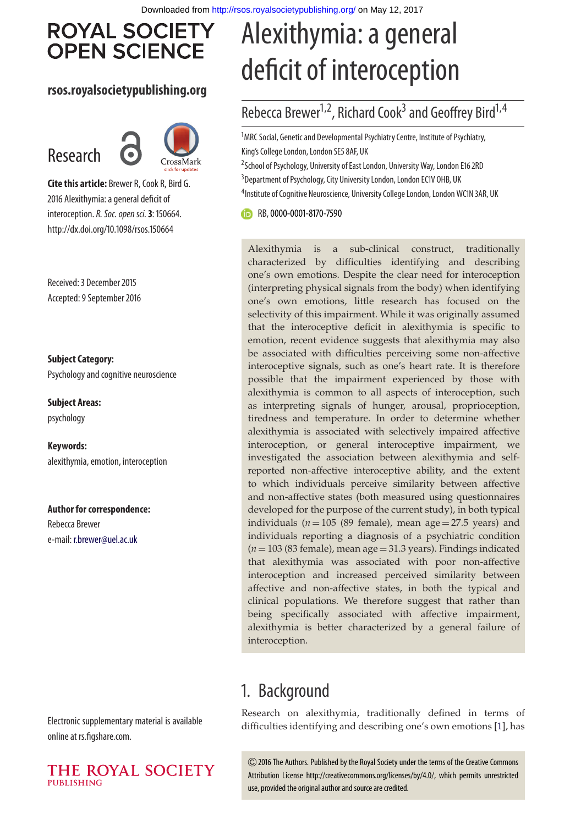# **ROYAL SOCIETY OPEN SCIENCE**

#### **rsos.royalsocietypublishing.org**





**Cite this article:** Brewer R, Cook R, Bird G. 2016 Alexithymia: a general deficit of interoception.R. Soc. open sci.**3**: 150664. http://dx.doi.org/10.1098/rsos.150664

Received: 3 December 2015 Accepted: 9 September 2016

**Subject Category:**

Psychology and cognitive neuroscience

**Subject Areas:** psychology

**Keywords:** alexithymia, emotion, interoception

**Author for correspondence:**

Rebecca Brewer e-mail: [r.brewer@uel.ac.uk](mailto:r.brewer@uel.ac.uk)

Electronic supplementary material is available online at rs.figshare.com.



# Alexithymia: a general deficit of interoception

### Rebecca Brewer<sup>1,2</sup>, Richard Cook<sup>3</sup> and Geoffrey Bird<sup>1,4</sup>

<sup>1</sup>MRC Social, Genetic and Developmental Psychiatry Centre, Institute of Psychiatry, King's College London, London SE5 8AF, UK

<sup>2</sup>School of Psychology, University of East London, University Way, London E16 2RD <sup>3</sup> Department of Psychology, City University London, London EC1V OHB, UK

<sup>4</sup>Institute of Cognitive Neuroscience, University College London, London WC1N 3AR, UK

RB, [0000-0001-8170-7590](http://orcid.org/0000-0001-8170-7590)

Alexithymia is a sub-clinical construct, traditionally characterized by difficulties identifying and describing one's own emotions. Despite the clear need for interoception (interpreting physical signals from the body) when identifying one's own emotions, little research has focused on the selectivity of this impairment. While it was originally assumed that the interoceptive deficit in alexithymia is specific to emotion, recent evidence suggests that alexithymia may also be associated with difficulties perceiving some non-affective interoceptive signals, such as one's heart rate. It is therefore possible that the impairment experienced by those with alexithymia is common to all aspects of interoception, such as interpreting signals of hunger, arousal, proprioception, tiredness and temperature. In order to determine whether alexithymia is associated with selectively impaired affective interoception, or general interoceptive impairment, we investigated the association between alexithymia and selfreported non-affective interoceptive ability, and the extent to which individuals perceive similarity between affective and non-affective states (both measured using questionnaires developed for the purpose of the current study), in both typical individuals ( $n = 105$  (89 female), mean age = 27.5 years) and individuals reporting a diagnosis of a psychiatric condition  $(n = 103 (83$  female), mean age = 31.3 years). Findings indicated that alexithymia was associated with poor non-affective interoception and increased perceived similarity between affective and non-affective states, in both the typical and clinical populations. We therefore suggest that rather than being specifically associated with affective impairment, alexithymia is better characterized by a general failure of interoception.

## 1. Background

Research on alexithymia, traditionally defined in terms of difficulties identifying and describing one's own emotions [\[1\]](#page-6-0), has

2016 The Authors. Published by the Royal Society under the terms of the Creative Commons Attribution License http://creativecommons.org/licenses/by/4.0/, which permits unrestricted use, provided the original author and source are credited.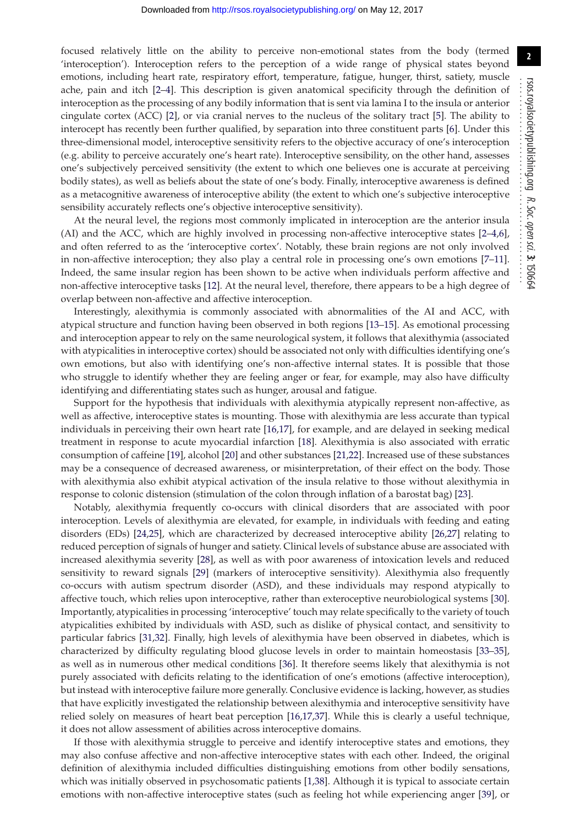sci. **3**: 150664

**2**

focused relatively little on the ability to perceive non-emotional states from the body (termed 'interoception'). Interoception refers to the perception of a wide range of physical states beyond emotions, including heart rate, respiratory effort, temperature, fatigue, hunger, thirst, satiety, muscle ache, pain and itch [\[2–](#page-6-1)[4\]](#page-6-2). This description is given anatomical specificity through the definition of interoception as the processing of any bodily information that is sent via lamina I to the insula or anterior cingulate cortex (ACC) [\[2\]](#page-6-1), or via cranial nerves to the nucleus of the solitary tract [\[5\]](#page-6-3). The ability to interocept has recently been further qualified, by separation into three constituent parts [\[6\]](#page-7-0). Under this three-dimensional model, interoceptive sensitivity refers to the objective accuracy of one's interoception (e.g. ability to perceive accurately one's heart rate). Interoceptive sensibility, on the other hand, assesses one's subjectively perceived sensitivity (the extent to which one believes one is accurate at perceiving bodily states), as well as beliefs about the state of one's body. Finally, interoceptive awareness is defined as a metacognitive awareness of interoceptive ability (the extent to which one's subjective interoceptive sensibility accurately reflects one's objective interoceptive sensitivity).

At the neural level, the regions most commonly implicated in interoception are the anterior insula (AI) and the ACC, which are highly involved in processing non-affective interoceptive states [\[2](#page-6-1)[–4](#page-6-2)[,6\]](#page-7-0), and often referred to as the 'interoceptive cortex'. Notably, these brain regions are not only involved in non-affective interoception; they also play a central role in processing one's own emotions [\[7–](#page-7-1)[11\]](#page-7-2). Indeed, the same insular region has been shown to be active when individuals perform affective and non-affective interoceptive tasks [\[12\]](#page-7-3). At the neural level, therefore, there appears to be a high degree of overlap between non-affective and affective interoception.

Interestingly, alexithymia is commonly associated with abnormalities of the AI and ACC, with atypical structure and function having been observed in both regions [\[13](#page-7-4)[–15\]](#page-7-5). As emotional processing and interoception appear to rely on the same neurological system, it follows that alexithymia (associated with atypicalities in interoceptive cortex) should be associated not only with difficulties identifying one's own emotions, but also with identifying one's non-affective internal states. It is possible that those who struggle to identify whether they are feeling anger or fear, for example, may also have difficulty identifying and differentiating states such as hunger, arousal and fatigue.

Support for the hypothesis that individuals with alexithymia atypically represent non-affective, as well as affective, interoceptive states is mounting. Those with alexithymia are less accurate than typical individuals in perceiving their own heart rate [\[16](#page-7-6)[,17\]](#page-7-7), for example, and are delayed in seeking medical treatment in response to acute myocardial infarction [\[18\]](#page-7-8). Alexithymia is also associated with erratic consumption of caffeine [\[19\]](#page-7-9), alcohol [\[20\]](#page-7-10) and other substances [\[21](#page-7-11)[,22\]](#page-7-12). Increased use of these substances may be a consequence of decreased awareness, or misinterpretation, of their effect on the body. Those with alexithymia also exhibit atypical activation of the insula relative to those without alexithymia in response to colonic distension (stimulation of the colon through inflation of a barostat bag) [\[23\]](#page-7-13).

Notably, alexithymia frequently co-occurs with clinical disorders that are associated with poor interoception. Levels of alexithymia are elevated, for example, in individuals with feeding and eating disorders (EDs) [\[24,](#page-7-14)[25\]](#page-7-15), which are characterized by decreased interoceptive ability [\[26,](#page-7-16)[27\]](#page-7-17) relating to reduced perception of signals of hunger and satiety. Clinical levels of substance abuse are associated with increased alexithymia severity [\[28\]](#page-7-18), as well as with poor awareness of intoxication levels and reduced sensitivity to reward signals [\[29\]](#page-7-19) (markers of interoceptive sensitivity). Alexithymia also frequently co-occurs with autism spectrum disorder (ASD), and these individuals may respond atypically to affective touch, which relies upon interoceptive, rather than exteroceptive neurobiological systems [\[30\]](#page-7-20). Importantly, atypicalities in processing 'interoceptive' touch may relate specifically to the variety of touch atypicalities exhibited by individuals with ASD, such as dislike of physical contact, and sensitivity to particular fabrics [\[31,](#page-7-21)[32\]](#page-7-22). Finally, high levels of alexithymia have been observed in diabetes, which is characterized by difficulty regulating blood glucose levels in order to maintain homeostasis [\[33–](#page-7-23)[35\]](#page-7-24), as well as in numerous other medical conditions [\[36\]](#page-7-25). It therefore seems likely that alexithymia is not purely associated with deficits relating to the identification of one's emotions (affective interoception), but instead with interoceptive failure more generally. Conclusive evidence is lacking, however, as studies that have explicitly investigated the relationship between alexithymia and interoceptive sensitivity have relied solely on measures of heart beat perception [\[16,](#page-7-6)[17](#page-7-7)[,37\]](#page-7-26). While this is clearly a useful technique, it does not allow assessment of abilities across interoceptive domains.

If those with alexithymia struggle to perceive and identify interoceptive states and emotions, they may also confuse affective and non-affective interoceptive states with each other. Indeed, the original definition of alexithymia included difficulties distinguishing emotions from other bodily sensations, which was initially observed in psychosomatic patients [\[1](#page-6-0)[,38\]](#page-7-27). Although it is typical to associate certain emotions with non-affective interoceptive states (such as feeling hot while experiencing anger [\[39\]](#page-7-28), or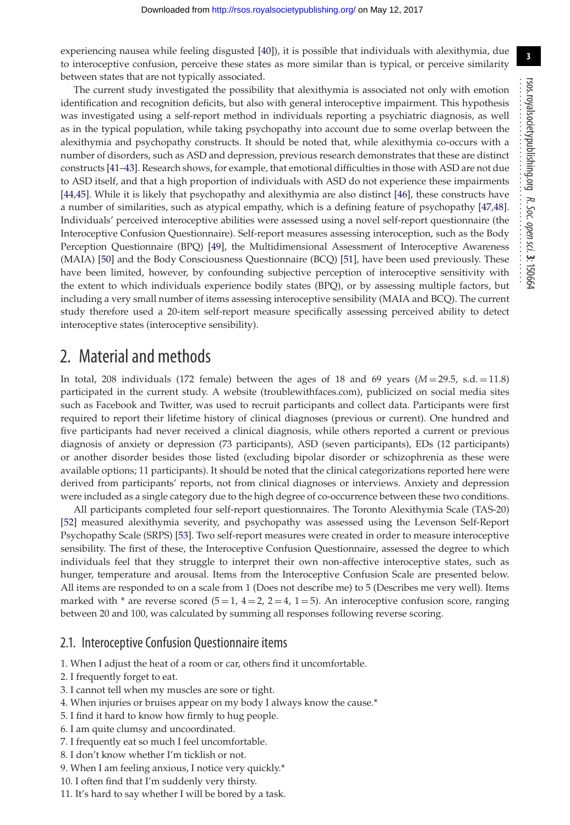experiencing nausea while feeling disgusted [\[40\]](#page-7-29)), it is possible that individuals with alexithymia, due to interoceptive confusion, perceive these states as more similar than is typical, or perceive similarity between states that are not typically associated.

The current study investigated the possibility that alexithymia is associated not only with emotion identification and recognition deficits, but also with general interoceptive impairment. This hypothesis was investigated using a self-report method in individuals reporting a psychiatric diagnosis, as well as in the typical population, while taking psychopathy into account due to some overlap between the alexithymia and psychopathy constructs. It should be noted that, while alexithymia co-occurs with a number of disorders, such as ASD and depression, previous research demonstrates that these are distinct constructs [\[41–](#page-7-30)[43\]](#page-7-31). Research shows, for example, that emotional difficulties in those with ASD are not due to ASD itself, and that a high proportion of individuals with ASD do not experience these impairments [\[44](#page-7-32)[,45\]](#page-7-33). While it is likely that psychopathy and alexithymia are also distinct [\[46\]](#page-7-34), these constructs have a number of similarities, such as atypical empathy, which is a defining feature of psychopathy [\[47](#page-7-35)[,48\]](#page-7-36). Individuals' perceived interoceptive abilities were assessed using a novel self-report questionnaire (the Interoceptive Confusion Questionnaire). Self-report measures assessing interoception, such as the Body Perception Questionnaire (BPQ) [\[49\]](#page-7-37), the Multidimensional Assessment of Interoceptive Awareness (MAIA) [\[50\]](#page-7-38) and the Body Consciousness Questionnaire (BCQ) [\[51\]](#page-7-39), have been used previously. These have been limited, however, by confounding subjective perception of interoceptive sensitivity with the extent to which individuals experience bodily states (BPQ), or by assessing multiple factors, but including a very small number of items assessing interoceptive sensibility (MAIA and BCQ). The current study therefore used a 20-item self-report measure specifically assessing perceived ability to detect interoceptive states (interoceptive sensibility).

### 2. Material and methods

In total, 208 individuals (172 female) between the ages of 18 and 69 years  $(M=29.5, s.d. = 11.8)$ participated in the current study. A website (troublewithfaces.com), publicized on social media sites such as Facebook and Twitter, was used to recruit participants and collect data. Participants were first required to report their lifetime history of clinical diagnoses (previous or current). One hundred and five participants had never received a clinical diagnosis, while others reported a current or previous diagnosis of anxiety or depression (73 participants), ASD (seven participants), EDs (12 participants) or another disorder besides those listed (excluding bipolar disorder or schizophrenia as these were available options; 11 participants). It should be noted that the clinical categorizations reported here were derived from participants' reports, not from clinical diagnoses or interviews. Anxiety and depression were included as a single category due to the high degree of co-occurrence between these two conditions.

All participants completed four self-report questionnaires. The Toronto Alexithymia Scale (TAS-20) [\[52\]](#page-7-40) measured alexithymia severity, and psychopathy was assessed using the Levenson Self-Report Psychopathy Scale (SRPS) [\[53\]](#page-8-0). Two self-report measures were created in order to measure interoceptive sensibility. The first of these, the Interoceptive Confusion Questionnaire, assessed the degree to which individuals feel that they struggle to interpret their own non-affective interoceptive states, such as hunger, temperature and arousal. Items from the Interoceptive Confusion Scale are presented below. All items are responded to on a scale from 1 (Does not describe me) to 5 (Describes me very well). Items marked with  $*$  are reverse scored (5 = 1, 4 = 2, 2 = 4, 1 = 5). An interoceptive confusion score, ranging between 20 and 100, was calculated by summing all responses following reverse scoring.

#### 2.1. Interoceptive Confusion Questionnaire items

- 1. When I adjust the heat of a room or car, others find it uncomfortable.
- 2. I frequently forget to eat.
- 3. I cannot tell when my muscles are sore or tight.
- 4. When injuries or bruises appear on my body I always know the cause.\*
- 5. I find it hard to know how firmly to hug people.
- 6. I am quite clumsy and uncoordinated.
- 7. I frequently eat so much I feel uncomfortable.
- 8. I don't know whether I'm ticklish or not.
- 9. When I am feeling anxious, I notice very quickly.\*
- 10. I often find that I'm suddenly very thirsty.
- 11. It's hard to say whether I will be bored by a task.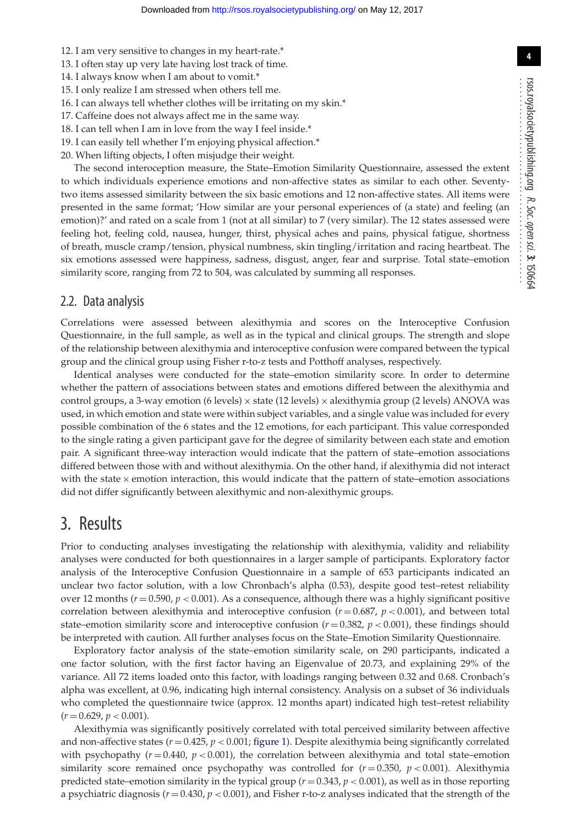- 12. I am very sensitive to changes in my heart-rate.\*
- 13. I often stay up very late having lost track of time.
- 14. I always know when I am about to vomit.\*
- 15. I only realize I am stressed when others tell me.
- 16. I can always tell whether clothes will be irritating on my skin.\*
- 17. Caffeine does not always affect me in the same way.
- 18. I can tell when I am in love from the way I feel inside.\*
- 19. I can easily tell whether I'm enjoying physical affection.\*
- 20. When lifting objects, I often misjudge their weight.

The second interoception measure, the State–Emotion Similarity Questionnaire, assessed the extent to which individuals experience emotions and non-affective states as similar to each other. Seventytwo items assessed similarity between the six basic emotions and 12 non-affective states. All items were presented in the same format; 'How similar are your personal experiences of (a state) and feeling (an emotion)?' and rated on a scale from 1 (not at all similar) to 7 (very similar). The 12 states assessed were feeling hot, feeling cold, nausea, hunger, thirst, physical aches and pains, physical fatigue, shortness of breath, muscle cramp/tension, physical numbness, skin tingling/irritation and racing heartbeat. The six emotions assessed were happiness, sadness, disgust, anger, fear and surprise. Total state–emotion similarity score, ranging from 72 to 504, was calculated by summing all responses.

#### 2.2. Data analysis

Correlations were assessed between alexithymia and scores on the Interoceptive Confusion Questionnaire, in the full sample, as well as in the typical and clinical groups. The strength and slope of the relationship between alexithymia and interoceptive confusion were compared between the typical group and the clinical group using Fisher r-to-z tests and Potthoff analyses, respectively.

Identical analyses were conducted for the state–emotion similarity score. In order to determine whether the pattern of associations between states and emotions differed between the alexithymia and control groups, a 3-way emotion (6 levels)  $\times$  state (12 levels)  $\times$  alexithymia group (2 levels) ANOVA was used, in which emotion and state were within subject variables, and a single value was included for every possible combination of the 6 states and the 12 emotions, for each participant. This value corresponded to the single rating a given participant gave for the degree of similarity between each state and emotion pair. A significant three-way interaction would indicate that the pattern of state–emotion associations differed between those with and without alexithymia. On the other hand, if alexithymia did not interact with the state  $\times$  emotion interaction, this would indicate that the pattern of state–emotion associations did not differ significantly between alexithymic and non-alexithymic groups.

### 3. Results

Prior to conducting analyses investigating the relationship with alexithymia, validity and reliability analyses were conducted for both questionnaires in a larger sample of participants. Exploratory factor analysis of the Interoceptive Confusion Questionnaire in a sample of 653 participants indicated an unclear two factor solution, with a low Chronbach's alpha (0.53), despite good test–retest reliability over 12 months (*r* = 0.590, *p* < 0.001). As a consequence, although there was a highly significant positive correlation between alexithymia and interoceptive confusion  $(r = 0.687, p < 0.001)$ , and between total state–emotion similarity score and interoceptive confusion  $(r = 0.382, p < 0.001)$ , these findings should be interpreted with caution. All further analyses focus on the State–Emotion Similarity Questionnaire.

Exploratory factor analysis of the state–emotion similarity scale, on 290 participants, indicated a one factor solution, with the first factor having an Eigenvalue of 20.73, and explaining 29% of the variance. All 72 items loaded onto this factor, with loadings ranging between 0.32 and 0.68. Cronbach's alpha was excellent, at 0.96, indicating high internal consistency. Analysis on a subset of 36 individuals who completed the questionnaire twice (approx. 12 months apart) indicated high test–retest reliability  $(r = 0.629, p < 0.001).$ 

Alexithymia was significantly positively correlated with total perceived similarity between affective and non-affective states (*r* = 0.425, *p* < 0.001; [figure 1\)](#page-4-0). Despite alexithymia being significantly correlated with psychopathy  $(r = 0.440, p < 0.001)$ , the correlation between alexithymia and total state–emotion similarity score remained once psychopathy was controlled for  $(r = 0.350, p < 0.001)$ . Alexithymia predicted state–emotion similarity in the typical group ( $r = 0.343$ ,  $p < 0.001$ ), as well as in those reporting a psychiatric diagnosis  $(r = 0.430, p < 0.001)$ , and Fisher r-to-z analyses indicated that the strength of the

**4**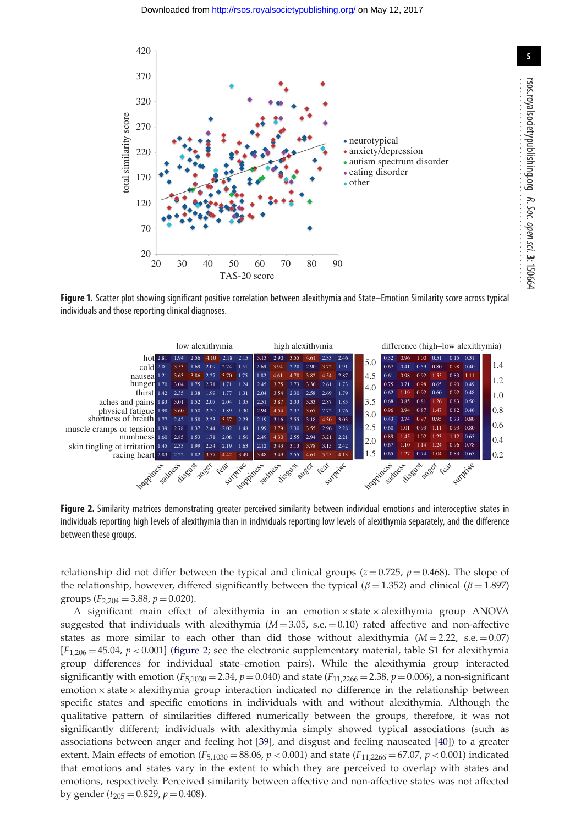

<span id="page-4-0"></span>**Figure 1.** Scatter plot showing significant positive correlation between alexithymia and State–Emotion Similarity score across typical individuals and those reporting clinical diagnoses.



<span id="page-4-1"></span>**Figure 2.** Similarity matrices demonstrating greater perceived similarity between individual emotions and interoceptive states in individuals reporting high levels of alexithymia than in individuals reporting low levels of alexithymia separately, and the difference between these groups.

relationship did not differ between the typical and clinical groups ( $z = 0.725$ ,  $p = 0.468$ ). The slope of the relationship, however, differed significantly between the typical ( $\beta = 1.352$ ) and clinical ( $\beta = 1.897$ ) groups  $(F_{2,204} = 3.88, p = 0.020)$ .

A significant main effect of alexithymia in an emotion × state × alexithymia group ANOVA suggested that individuals with alexithymia  $(M=3.05, s.e. = 0.10)$  rated affective and non-affective states as more similar to each other than did those without alexithymia  $(M = 2.22, s.e. = 0.07)$  $[F1,206 = 45.04, p < 0.001]$  [\(figure 2;](#page-4-1) see the electronic supplementary material, table S1 for alexithymia group differences for individual state–emotion pairs). While the alexithymia group interacted significantly with emotion  $(F_{5,1030} = 2.34, p = 0.040)$  and state  $(F_{11,2266} = 2.38, p = 0.006)$ , a non-significant emotion  $\times$  state  $\times$  alexithymia group interaction indicated no difference in the relationship between specific states and specific emotions in individuals with and without alexithymia. Although the qualitative pattern of similarities differed numerically between the groups, therefore, it was not significantly different; individuals with alexithymia simply showed typical associations (such as associations between anger and feeling hot [\[39\]](#page-7-28), and disgust and feeling nauseated [\[40\]](#page-7-29)) to a greater extent. Main effects of emotion ( $F_{5,1030} = 88.06$ ,  $p < 0.001$ ) and state ( $F_{11,2266} = 67.07$ ,  $p < 0.001$ ) indicated that emotions and states vary in the extent to which they are perceived to overlap with states and emotions, respectively. Perceived similarity between affective and non-affective states was not affected by gender  $(t_{205} = 0.829, p = 0.408)$ .

rsos.royalsocietypublishing.org

R. Soc.

................................................

open

sci. **3**: 150664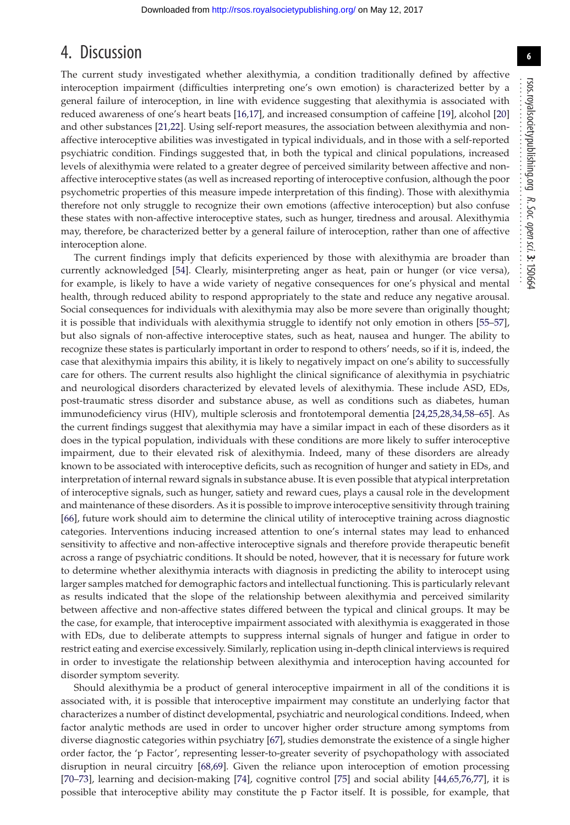### 4. Discussion

The current study investigated whether alexithymia, a condition traditionally defined by affective interoception impairment (difficulties interpreting one's own emotion) is characterized better by a general failure of interoception, in line with evidence suggesting that alexithymia is associated with reduced awareness of one's heart beats [\[16,](#page-7-6)[17\]](#page-7-7), and increased consumption of caffeine [\[19\]](#page-7-9), alcohol [\[20\]](#page-7-10) and other substances [\[21](#page-7-11)[,22\]](#page-7-12). Using self-report measures, the association between alexithymia and nonaffective interoceptive abilities was investigated in typical individuals, and in those with a self-reported psychiatric condition. Findings suggested that, in both the typical and clinical populations, increased levels of alexithymia were related to a greater degree of perceived similarity between affective and nonaffective interoceptive states (as well as increased reporting of interoceptive confusion, although the poor psychometric properties of this measure impede interpretation of this finding). Those with alexithymia therefore not only struggle to recognize their own emotions (affective interoception) but also confuse these states with non-affective interoceptive states, such as hunger, tiredness and arousal. Alexithymia may, therefore, be characterized better by a general failure of interoception, rather than one of affective interoception alone.

The current findings imply that deficits experienced by those with alexithymia are broader than currently acknowledged [\[54\]](#page-8-1). Clearly, misinterpreting anger as heat, pain or hunger (or vice versa), for example, is likely to have a wide variety of negative consequences for one's physical and mental health, through reduced ability to respond appropriately to the state and reduce any negative arousal. Social consequences for individuals with alexithymia may also be more severe than originally thought; it is possible that individuals with alexithymia struggle to identify not only emotion in others [\[55–](#page-8-2)[57\]](#page-8-3), but also signals of non-affective interoceptive states, such as heat, nausea and hunger. The ability to recognize these states is particularly important in order to respond to others' needs, so if it is, indeed, the case that alexithymia impairs this ability, it is likely to negatively impact on one's ability to successfully care for others. The current results also highlight the clinical significance of alexithymia in psychiatric and neurological disorders characterized by elevated levels of alexithymia. These include ASD, EDs, post-traumatic stress disorder and substance abuse, as well as conditions such as diabetes, human immunodeficiency virus (HIV), multiple sclerosis and frontotemporal dementia [\[24,](#page-7-14)[25](#page-7-15)[,28](#page-7-18)[,34,](#page-7-41)[58–](#page-8-4)[65\]](#page-8-5). As the current findings suggest that alexithymia may have a similar impact in each of these disorders as it does in the typical population, individuals with these conditions are more likely to suffer interoceptive impairment, due to their elevated risk of alexithymia. Indeed, many of these disorders are already known to be associated with interoceptive deficits, such as recognition of hunger and satiety in EDs, and interpretation of internal reward signals in substance abuse. It is even possible that atypical interpretation of interoceptive signals, such as hunger, satiety and reward cues, plays a causal role in the development and maintenance of these disorders. As it is possible to improve interoceptive sensitivity through training [\[66\]](#page-8-6), future work should aim to determine the clinical utility of interoceptive training across diagnostic categories. Interventions inducing increased attention to one's internal states may lead to enhanced sensitivity to affective and non-affective interoceptive signals and therefore provide therapeutic benefit across a range of psychiatric conditions. It should be noted, however, that it is necessary for future work to determine whether alexithymia interacts with diagnosis in predicting the ability to interocept using larger samples matched for demographic factors and intellectual functioning. This is particularly relevant as results indicated that the slope of the relationship between alexithymia and perceived similarity between affective and non-affective states differed between the typical and clinical groups. It may be the case, for example, that interoceptive impairment associated with alexithymia is exaggerated in those with EDs, due to deliberate attempts to suppress internal signals of hunger and fatigue in order to restrict eating and exercise excessively. Similarly, replication using in-depth clinical interviews is required in order to investigate the relationship between alexithymia and interoception having accounted for disorder symptom severity.

Should alexithymia be a product of general interoceptive impairment in all of the conditions it is associated with, it is possible that interoceptive impairment may constitute an underlying factor that characterizes a number of distinct developmental, psychiatric and neurological conditions. Indeed, when factor analytic methods are used in order to uncover higher order structure among symptoms from diverse diagnostic categories within psychiatry [\[67\]](#page-8-7), studies demonstrate the existence of a single higher order factor, the 'p Factor', representing lesser-to-greater severity of psychopathology with associated disruption in neural circuitry [\[68](#page-8-8)[,69\]](#page-8-9). Given the reliance upon interoception of emotion processing [\[70–](#page-8-10)[73\]](#page-8-11), learning and decision-making [\[74\]](#page-8-12), cognitive control [\[75\]](#page-8-13) and social ability [\[44,](#page-7-32)[65](#page-8-5)[,76,](#page-8-14)[77\]](#page-8-15), it is possible that interoceptive ability may constitute the p Factor itself. It is possible, for example, that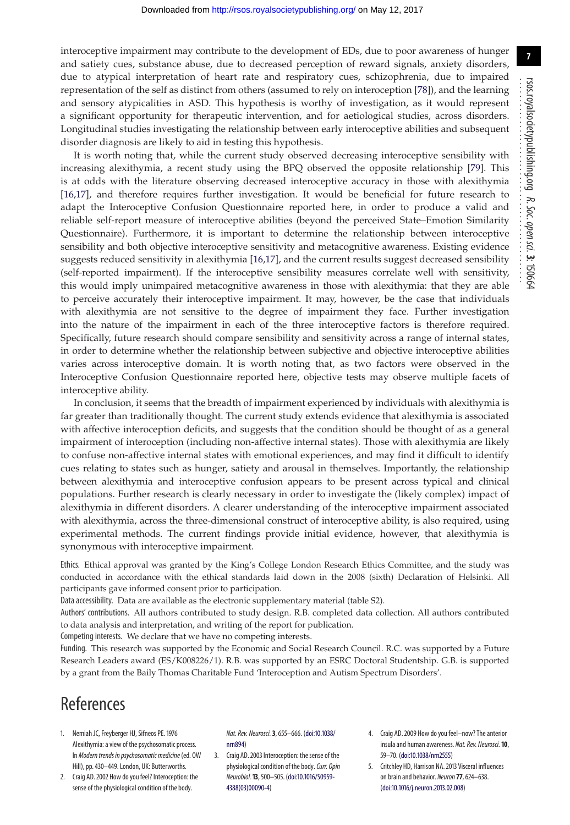**7**

interoceptive impairment may contribute to the development of EDs, due to poor awareness of hunger and satiety cues, substance abuse, due to decreased perception of reward signals, anxiety disorders, due to atypical interpretation of heart rate and respiratory cues, schizophrenia, due to impaired representation of the self as distinct from others (assumed to rely on interoception [\[78\]](#page-8-16)), and the learning and sensory atypicalities in ASD. This hypothesis is worthy of investigation, as it would represent a significant opportunity for therapeutic intervention, and for aetiological studies, across disorders. Longitudinal studies investigating the relationship between early interoceptive abilities and subsequent disorder diagnosis are likely to aid in testing this hypothesis.

It is worth noting that, while the current study observed decreasing interoceptive sensibility with increasing alexithymia, a recent study using the BPQ observed the opposite relationship [\[79\]](#page-8-17). This is at odds with the literature observing decreased interoceptive accuracy in those with alexithymia [\[16](#page-7-6)[,17\]](#page-7-7), and therefore requires further investigation. It would be beneficial for future research to adapt the Interoceptive Confusion Questionnaire reported here, in order to produce a valid and reliable self-report measure of interoceptive abilities (beyond the perceived State–Emotion Similarity Questionnaire). Furthermore, it is important to determine the relationship between interoceptive sensibility and both objective interoceptive sensitivity and metacognitive awareness. Existing evidence suggests reduced sensitivity in alexithymia [\[16](#page-7-6)[,17\]](#page-7-7), and the current results suggest decreased sensibility (self-reported impairment). If the interoceptive sensibility measures correlate well with sensitivity, this would imply unimpaired metacognitive awareness in those with alexithymia: that they are able to perceive accurately their interoceptive impairment. It may, however, be the case that individuals with alexithymia are not sensitive to the degree of impairment they face. Further investigation into the nature of the impairment in each of the three interoceptive factors is therefore required. Specifically, future research should compare sensibility and sensitivity across a range of internal states, in order to determine whether the relationship between subjective and objective interoceptive abilities varies across interoceptive domain. It is worth noting that, as two factors were observed in the Interoceptive Confusion Questionnaire reported here, objective tests may observe multiple facets of interoceptive ability.

In conclusion, it seems that the breadth of impairment experienced by individuals with alexithymia is far greater than traditionally thought. The current study extends evidence that alexithymia is associated with affective interoception deficits, and suggests that the condition should be thought of as a general impairment of interoception (including non-affective internal states). Those with alexithymia are likely to confuse non-affective internal states with emotional experiences, and may find it difficult to identify cues relating to states such as hunger, satiety and arousal in themselves. Importantly, the relationship between alexithymia and interoceptive confusion appears to be present across typical and clinical populations. Further research is clearly necessary in order to investigate the (likely complex) impact of alexithymia in different disorders. A clearer understanding of the interoceptive impairment associated with alexithymia, across the three-dimensional construct of interoceptive ability, is also required, using experimental methods. The current findings provide initial evidence, however, that alexithymia is synonymous with interoceptive impairment.

Ethics. Ethical approval was granted by the King's College London Research Ethics Committee, and the study was conducted in accordance with the ethical standards laid down in the 2008 (sixth) Declaration of Helsinki. All participants gave informed consent prior to participation.

Data accessibility. Data are available as the electronic supplementary material (table S2).

Authors' contributions. All authors contributed to study design. R.B. completed data collection. All authors contributed to data analysis and interpretation, and writing of the report for publication.

Competing interests. We declare that we have no competing interests.

Funding. This research was supported by the Economic and Social Research Council. R.C. was supported by a Future Research Leaders award (ES/K008226/1). R.B. was supported by an ESRC Doctoral Studentship. G.B. is supported by a grant from the Baily Thomas Charitable Fund 'Interoception and Autism Spectrum Disorders'.

# References

- <span id="page-6-0"></span>1. Nemiah JC, Freyberger HJ, Sifneos PE. 1976 Alexithymia: a view of the psychosomatic process. In Modern trends in psychosomatic medicine(ed. OW Hill), pp. 430–449. London, UK: Butterworths.
- <span id="page-6-1"></span>2. Craig AD. 2002 How do you feel? Interoception: the sense of the physiological condition of the body.

Nat. Rev. Neurosci.**3**, 655–666. [\(doi:10.1038/](http://dx.doi.org/10.1038/nrn894) [nrn894\)](http://dx.doi.org/10.1038/nrn894)

- 3. Craig AD. 2003 Interoception: the sense of the physiological condition of the body. Curr. Opin Neurobiol.**13**, 500–505. [\(doi:10.1016/S0959-](http://dx.doi.org/10.1016/S0959-4388(03)00090-4) [4388\(03\)00090-4\)](http://dx.doi.org/10.1016/S0959-4388(03)00090-4)
- <span id="page-6-2"></span>4. Craig AD. 2009 How do you feel–now? The anterior insula and human awareness. Nat. Rev. Neurosci.**10**, 59–70. [\(doi:10.1038/nrn2555\)](http://dx.doi.org/10.1038/nrn2555)
- <span id="page-6-3"></span>5. Critchley HD, Harrison NA. 2013 Visceral influences on brain and behavior. Neuron**77**, 624–638. [\(doi:10.1016/j.neuron.2013.02.008\)](http://dx.doi.org/10.1016/j.neuron.2013.02.008)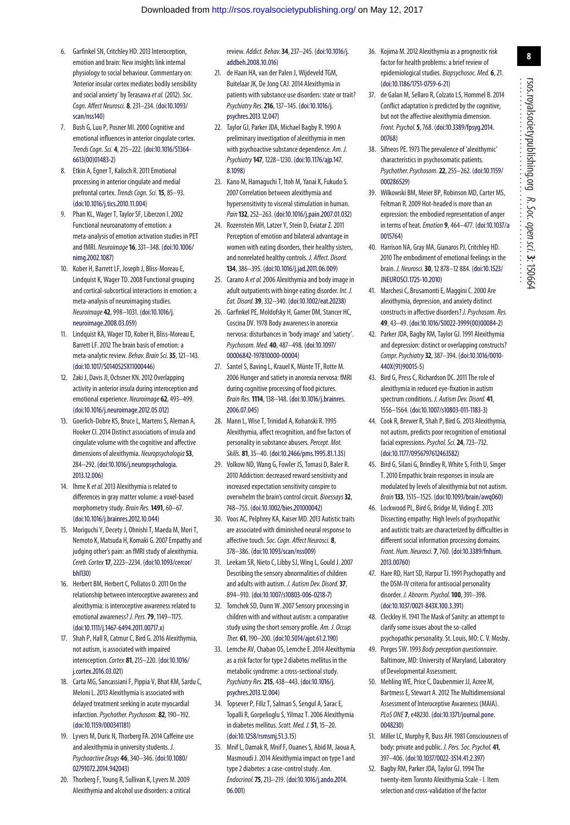- <span id="page-7-0"></span>6. Garfinkel SN, Critchley HD. 2013 Interoception, emotion and brain: New insights link internal physiology to social behaviour. Commentary on: 'Anterior insular cortex mediates bodily sensibility and social anxiety' by Terasawa et al. (2012). Soc. Cogn. Affect Neurosci. **8**, 231–234. [\(doi:10.1093/](http://dx.doi.org/10.1093/scan/nss140) [scan/nss140\)](http://dx.doi.org/10.1093/scan/nss140)
- <span id="page-7-1"></span>7. Bush G, Luu P, Posner MI. 2000 Cognitive and emotional influences in anterior cingulate cortex. Trends Cogn. Sci. **4**, 215–222. [\(doi:10.1016/S1364-](http://dx.doi.org/10.1016/S1364-6613(00)01483-2) [6613\(00\)01483-2\)](http://dx.doi.org/10.1016/S1364-6613(00)01483-2)
- 8. Etkin A, Egner T, Kalisch R. 2011 Emotional processing in anterior cingulate and medial prefrontal cortex.Trends Cogn. Sci.**15**, 85–93. [\(doi:10.1016/j.tics.2010.11.004\)](http://dx.doi.org/10.1016/j.tics.2010.11.004)
- 9. Phan KL, Wager T, Taylor SF, Liberzon I. 2002 Functional neuroanatomy of emotion: a meta-analysis of emotion activation studies in PET and fMRI. Neuroimage**16**, 331–348. [\(doi:10.1006/](http://dx.doi.org/10.1006/nimg.2002.1087) [nimg.2002.1087\)](http://dx.doi.org/10.1006/nimg.2002.1087)
- 10. Kober H, Barrett LF, Joseph J, Bliss-Moreau E, Lindquist K, Wager TD. 2008 Functional grouping and cortical-subcortical interactions in emotion: a meta-analysis of neuroimaging studies. Neuroimage **42**, 998–1031. [\(doi:10.1016/j.](http://dx.doi.org/10.1016/j.neuroimage.2008.03.059) [neuroimage.2008.03.059\)](http://dx.doi.org/10.1016/j.neuroimage.2008.03.059)
- <span id="page-7-2"></span>11. Lindquist KA, Wager TD, Kober H, Bliss-Moreau E, Barrett LF. 2012 The brain basis of emotion: a meta-analytic review. Behav. Brain Sci.**35**, 121–143. [\(doi:10.1017/S0140525X11000446\)](http://dx.doi.org/10.1017/S0140525X11000446)
- <span id="page-7-3"></span>12. Zaki J, Davis JI, Ochsner KN. 2012 Overlapping activity in anterior insula during interoception and emotional experience. Neuroimage **62**, 493–499. [\(doi:10.1016/j.neuroimage.2012.05.012\)](http://dx.doi.org/10.1016/j.neuroimage.2012.05.012)
- <span id="page-7-4"></span>13. Goerlich-Dobre KS, Bruce L, Martens S, Aleman A, Hooker CI. 2014 Distinct associations of insula and cingulate volume with the cognitive and affective dimensions of alexithymia. Neuropsychologia**53**, 284–292. [\(doi:10.1016/j.neuropsychologia.](http://dx.doi.org/10.1016/j.neuropsychologia.2013.12.006) [2013.12.006\)](http://dx.doi.org/10.1016/j.neuropsychologia.2013.12.006)
- 14. Ihme K et al. 2013 Alexithymia is related to differences in gray matter volume: a voxel-based morphometry study. Brain Res.**1491**, 60–67. [\(doi:10.1016/j.brainres.2012.10.044\)](http://dx.doi.org/10.1016/j.brainres.2012.10.044)
- <span id="page-7-5"></span>15. Moriguchi Y, Decety J, Ohnishi T, Maeda M, Mori T, Nemoto K, Matsuda H, Komaki G. 2007 Empathy and judging other's pain: an fMRI study of alexithymia. Cereb. Cortex **17**, 2223–2234. [\(doi:10.1093/cercor/](http://dx.doi.org/10.1093/cercor/bhl130) [bhl130\)](http://dx.doi.org/10.1093/cercor/bhl130)
- <span id="page-7-6"></span>16. Herbert BM, Herbert C, Pollatos O. 2011 On the relationship between interoceptive awareness and alexithymia: is interoceptive awareness related to emotional awareness? J. Pers.**79**, 1149–1175. [\(doi:10.1111/j.1467-6494.2011.00717.x\)](http://dx.doi.org/10.1111/j.1467-6494.2011.00717.x)
- <span id="page-7-7"></span>17. Shah P, Hall R, Catmur C, Bird G. 2016 Alexithymia, not autism, is associated with impaired interoception.Cortex **81**, 215–220. [\(doi:10.1016/](http://dx.doi.org/10.1016/j.cortex.2016.03.021) [j.cortex.2016.03.021\)](http://dx.doi.org/10.1016/j.cortex.2016.03.021)
- <span id="page-7-8"></span>18. Carta MG, Sancassiani F, Pippia V, Bhat KM, Sardu C, Meloni L. 2013 Alexithymia is associated with delayed treatment seeking in acute myocardial infarction. Psychother. Psychosom. **82**, 190-192. [\(doi:10.1159/000341181\)](http://dx.doi.org/10.1159/000341181)
- <span id="page-7-9"></span>19. Lyvers M, Duric N, Thorberg FA. 2014 Caffeine use and alexithymia in university students. J. Psychoactive Drugs **46**, 340–346. [\(doi:10.1080/](http://dx.doi.org/10.1080/02791072.2014.942043) [02791072.2014.942043\)](http://dx.doi.org/10.1080/02791072.2014.942043)
- <span id="page-7-10"></span>20. Thorberg F, Young R, Sullivan K, Lyvers M. 2009 Alexithymia and alcohol use disorders: a critical

review. Addict. Behav.**34**, 237–245. [\(doi:10.1016/j.](http://dx.doi.org/10.1016/j.addbeh.2008.10.016) [addbeh.2008.10.016\)](http://dx.doi.org/10.1016/j.addbeh.2008.10.016)

- <span id="page-7-11"></span>21. de Haan HA, van der Palen J, Wijdeveld TGM, Buitelaar JK, De Jong CAJ. 2014 Alexithymia in patients with substance use disorders: state or trait? Psychiatry Res.**216**, 137–145. [\(doi:10.1016/j.](http://dx.doi.org/10.1016/j.psychres.2013.12.047) [psychres.2013.12.047\)](http://dx.doi.org/10.1016/j.psychres.2013.12.047)
- <span id="page-7-12"></span>22. Taylor GJ, Parker JDA, Michael Bagby R. 1990 A preliminary investigation of alexithymia in men with psychoactive substance dependence. Am. J. Psychiatry **147**, 1228–1230. [\(doi:10.1176/ajp.147.](http://dx.doi.org/10.1176/ajp.147.8.1098) [8.1098\)](http://dx.doi.org/10.1176/ajp.147.8.1098)
- <span id="page-7-13"></span>23. Kano M, Hamaguchi T, Itoh M, Yanai K, Fukudo S. 2007 Correlation between alexithymia and hypersensitivity to visceral stimulation in human. Pain**132**, 252–263. [\(doi:10.1016/j.pain.2007.01.032\)](http://dx.doi.org/10.1016/j.pain.2007.01.032)
- <span id="page-7-14"></span>24. Rozenstein MH, Latzer Y, Stein D, Eviatar Z. 2011 Perception of emotion and bilateral advantage in women with eating disorders, their healthy sisters, and nonrelated healthy controls. J. Affect. Disord. **134**, 386–395. [\(doi:10.1016/j.jad.2011.06.009\)](http://dx.doi.org/10.1016/j.jad.2011.06.009)
- <span id="page-7-15"></span>25. Carano A et al. 2006 Alexithymia and body image in adult outpatients with binge eating disorder. Int. J. Eat. Disord.**39**, 332–340. [\(doi:10.1002/eat.20238\)](http://dx.doi.org/10.1002/eat.20238)
- <span id="page-7-16"></span>26. Garfinkel PE, Moldofsky H, Garner DM, Stancer HC, Coscina DV. 1978 Body awareness in anorexia nervosa: disturbances in 'body image' and 'satiety'. Psychosom. Med. **40**, 487–498. [\(doi:10.1097/](http://dx.doi.org/10.1097/00006842-197810000-00004) [00006842-197810000-00004\)](http://dx.doi.org/10.1097/00006842-197810000-00004)
- <span id="page-7-17"></span>27. Santel S, Baving L, Krauel K, Münte TF, Rotte M. 2006 Hunger and satiety in anorexia nervosa: fMRI during cognitive processing of food pictures. Brain Res.**1114**, 138–148. [\(doi:10.1016/j.brainres.](http://dx.doi.org/10.1016/j.brainres.2006.07.045) [2006.07.045\)](http://dx.doi.org/10.1016/j.brainres.2006.07.045)
- <span id="page-7-18"></span>28. Mann L, Wise T, Trinidad A, Kohanski R. 1995 Alexithymia, affect recognition, and five factors of personality in substance abusers. Percept. Mot. Skills. **81**, 35–40. [\(doi:10.2466/pms.1995.81.1.35\)](http://dx.doi.org/10.2466/pms.1995.81.1.35)
- <span id="page-7-19"></span>29. Volkow ND, Wang G, Fowler JS, Tomasi D, Baler R. 2010 Addiction: decreased reward sensitivity and increased expectation sensitivity conspire to overwhelm the brain's control circuit. Bioessays**32**, 748–755. [\(doi:10.1002/bies.201000042\)](http://dx.doi.org/10.1002/bies.201000042)
- <span id="page-7-20"></span>30. Voos AC, Pelphrey KA, Kaiser MD. 2013 Autistic traits are associated with diminished neural response to affective touch.Soc. Cogn. Affect Neurosci. **8**, 378–386. [\(doi:10.1093/scan/nss009\)](http://dx.doi.org/10.1093/scan/nss009)
- <span id="page-7-21"></span>31. Leekam SR, Nieto C, Libby SJ, Wing L, Gould J. 2007 Describing the sensory abnormalities of children and adults with autism. J. Autism Dev. Disord.**37**, 894–910. [\(doi:10.1007/s10803-006-0218-7\)](http://dx.doi.org/10.1007/s10803-006-0218-7)
- <span id="page-7-22"></span>32. Tomchek SD, Dunn W. 2007 Sensory processing in children with and without autism: a comparative study using the short sensory profile. Am. J. Occup. Ther. **61**, 190–200. [\(doi:10.5014/ajot.61.2.190\)](http://dx.doi.org/10.5014/ajot.61.2.190)
- <span id="page-7-23"></span>33. Lemche AV, Chaban OS, Lemche E. 2014 Alexithymia as a risk factor for type 2 diabetes mellitus in the metabolic syndrome: a cross-sectional study. Psychiatry Res.**215**, 438–443. [\(doi:10.1016/j.](http://dx.doi.org/10.1016/j.psychres.2013.12.004) [psychres.2013.12.004\)](http://dx.doi.org/10.1016/j.psychres.2013.12.004)
- <span id="page-7-41"></span>Topsever P, Filiz T, Salman S, Sengul A, Sarac E, Topalli R, Gorpelioglu S, Yilmaz T. 2006 Alexithymia in diabetes mellitus. Scott. Med. J. 51, 15-20. [\(doi:10.1258/rsmsmj.51.3.15\)](http://dx.doi.org/10.1258/rsmsmj.51.3.15)
- <span id="page-7-24"></span>35. Mnif L, Damak R, Mnif F, Ouanes S, Abid M, Jaoua A, Masmoudi J. 2014 Alexithymia impact on type 1 and type 2 diabetes: a case-control study. Ann. Endocrinol.**75**, 213–219. [\(doi:10.1016/j.ando.2014.](http://dx.doi.org/10.1016/j.ando.2014.06.001) [06.001\)](http://dx.doi.org/10.1016/j.ando.2014.06.001)
- <span id="page-7-25"></span>36. Kojima M. 2012 Alexithymia as a prognostic risk factor for health problems: a brief review of epidemiological studies. Biopsychosoc. Med. **6**, 21. [\(doi:10.1186/1751-0759-6-21\)](http://dx.doi.org/10.1186/1751-0759-6-21)
- <span id="page-7-26"></span>37. de Galan M, Sellaro R, Colzato LS, Hommel B. 2014 Conflict adaptation is predicted by the cognitive, but not the affective alexithymia dimension. Front. Psychol.**5**, 768. [\(doi:10.3389/fpsyg.2014.](http://dx.doi.org/10.3389/fpsyg.2014.00768) [00768\)](http://dx.doi.org/10.3389/fpsyg.2014.00768)
- <span id="page-7-27"></span>38. Sifneos PE. 1973 The prevalence of 'alexithymic' characteristics in psychosomatic patients. Psychother. Psychosom.**22**, 255–262. [\(doi:10.1159/](http://dx.doi.org/10.1159/000286529) [000286529\)](http://dx.doi.org/10.1159/000286529)
- <span id="page-7-28"></span>39. Wilkowski BM, Meier BP, Robinson MD, Carter MS, Feltman R. 2009 Hot-headed is more than an expression: the embodied representation of anger in terms of heat.Emotion **9**, 464–477. [\(doi:10.1037/a](http://dx.doi.org/10.1037/a0015764) [0015764\)](http://dx.doi.org/10.1037/a0015764)
- <span id="page-7-29"></span>40. Harrison NA, Gray MA, Gianaros PJ, Critchley HD. 2010 The embodiment of emotional feelings in the brain. J. Neurosci.**30**, 12 878–12 884. [\(doi:10.1523/](http://dx.doi.org/10.1523/JNEUROSCI.1725-10.2010) [JNEUROSCI.1725-10.2010\)](http://dx.doi.org/10.1523/JNEUROSCI.1725-10.2010)
- <span id="page-7-30"></span>41. Marchesi C, Brusamonti E, Maggini C. 2000 Are alexithymia, depression, and anxiety distinct constructs in affective disorders? J. Psychosom. Res. **49**, 43–49. [\(doi:10.1016/S0022-3999\(00\)00084-2\)](http://dx.doi.org/10.1016/S0022-3999(00)00084-2)
- 42. Parker JDA, Bagby RM, Taylor GJ. 1991 Alexithymia and depression: distinct or overlapping constructs? Compr. Psychiatry **32**, 387–394. [\(doi:10.1016/0010-](http://dx.doi.org/10.1016/0010-440X(91)90015-5) [440X\(91\)90015-5\)](http://dx.doi.org/10.1016/0010-440X(91)90015-5)
- <span id="page-7-31"></span>43. Bird G, Press C, Richardson DC. 2011 The role of alexithymia in reduced eye-fixation in autism spectrum conditions. J. Autism Dev. Disord. **41**, 1556–1564. [\(doi:10.1007/s10803-011-1183-3\)](http://dx.doi.org/10.1007/s10803-011-1183-3)
- <span id="page-7-32"></span>44. Cook R, Brewer R, Shah P, Bird G. 2013 Alexithymia, not autism, predicts poor recognition of emotional facial expressions.Psychol. Sci.**24**, 723–732. [\(doi:10.1177/0956797612463582\)](http://dx.doi.org/10.1177/0956797612463582)
- <span id="page-7-33"></span>45. Bird G, Silani G, Brindley R, White S, Frith U, Singer T. 2010 Empathic brain responses in insula are modulated by levels of alexithymia but not autism. Brain**133**, 1515–1525. [\(doi:10.1093/brain/awq060\)](http://dx.doi.org/10.1093/brain/awq060)
- <span id="page-7-34"></span>46. Lockwood PL, Bird G, Bridge M, Viding E. 2013 Dissecting empathy: High levels of psychopathic and autistic traits are characterized by difficulties in different social information processing domains. Front. Hum. Neurosci.**7**, 760. [\(doi:10.3389/fnhum.](http://dx.doi.org/10.3389/fnhum.2013.00760) [2013.00760\)](http://dx.doi.org/10.3389/fnhum.2013.00760)
- <span id="page-7-35"></span>47. Hare RD, Hart SD, Harpur TJ. 1991 Psychopathy and the DSM-IV criteria for antisocial personality disorder. J. Abnorm. Psychol.**100**, 391–398. [\(doi:10.1037/0021-843X.100.3.391\)](http://dx.doi.org/10.1037/0021-843X.100.3.391)
- <span id="page-7-36"></span>48. Cleckley H. 1941 The Mask of Sanity: an attempt to clarify some issues about the so-called psychopathic personality. St. Louis, MO: C. V. Mosby.
- <span id="page-7-37"></span>49. Porges SW. 1993 Body perception questionnaire. Baltimore, MD: University of Maryland, Laboratory of Developmental Assessment.
- <span id="page-7-38"></span>50. Mehling WE, Price C, Daubenmier JJ, Acree M, Bartmess E, Stewart A. 2012 The Multidimensional Assessment of Interoceptive Awareness (MAIA). PLoS ONE **7**, e48230. [\(doi:10.1371/journal.pone.](http://dx.doi.org/10.1371/journal.pone.0048230) [0048230\)](http://dx.doi.org/10.1371/journal.pone.0048230)
- <span id="page-7-39"></span>51. Miller LC, Murphy R, Buss AH. 1981 Consciousness of body: private and public. J. Pers. Soc. Psychol. **41**, 397–406. [\(doi:10.1037/0022-3514.41.2.397\)](http://dx.doi.org/10.1037/0022-3514.41.2.397)
- <span id="page-7-40"></span>52. Bagby RM, Parker JDA, Taylor GJ. 1994 The twenty-item Toronto Alexithymia Scale - I. Item selection and cross-validation of the factor